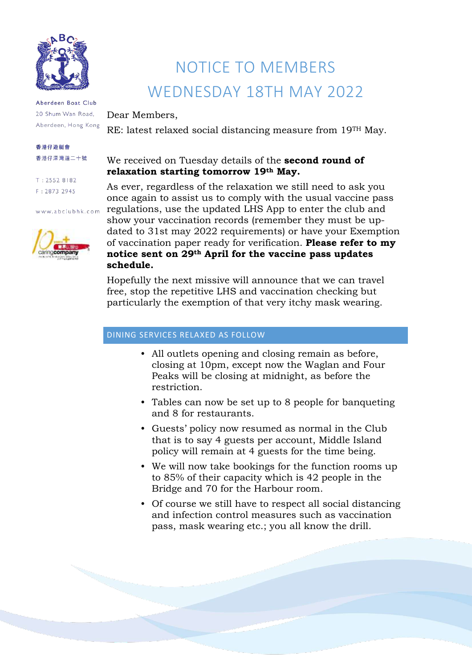

Aberdeen Boat Club 20 Shum Wan Road, Aberdeen, Hong Kong

#### 香港仔游艇會 香港仔深灣道二十號

 $T: 2552 8182$  $F: 2873 2945$ 

www.abclubhk.com



# NOTICE TO MEMBERS WEDNESDAY 18TH MAY 2022

Dear Members,

RE: latest relaxed social distancing measure from 19TH May.

## We received on Tuesday details of the **second round of relaxation starting tomorrow 19th May.**

As ever, regardless of the relaxation we still need to ask you once again to assist us to comply with the usual vaccine pass regulations, use the updated LHS App to enter the club and show your vaccination records (remember they must be updated to 31st may 2022 requirements) or have your Exemption of vaccination paper ready for verification. **Please refer to my notice sent on 29th April for the vaccine pass updates schedule.**

Hopefully the next missive will announce that we can travel free, stop the repetitive LHS and vaccination checking but particularly the exemption of that very itchy mask wearing.

#### DINING SERVICES RELAXED AS FOLLOW

- All outlets opening and closing remain as before, closing at 10pm, except now the Waglan and Four Peaks will be closing at midnight, as before the restriction.
- Tables can now be set up to 8 people for banqueting and 8 for restaurants.
- Guests' policy now resumed as normal in the Club that is to say 4 guests per account, Middle Island policy will remain at 4 guests for the time being.
- We will now take bookings for the function rooms up to 85% of their capacity which is 42 people in the Bridge and 70 for the Harbour room.
- Of course we still have to respect all social distancing and infection control measures such as vaccination pass, mask wearing etc.; you all know the drill.